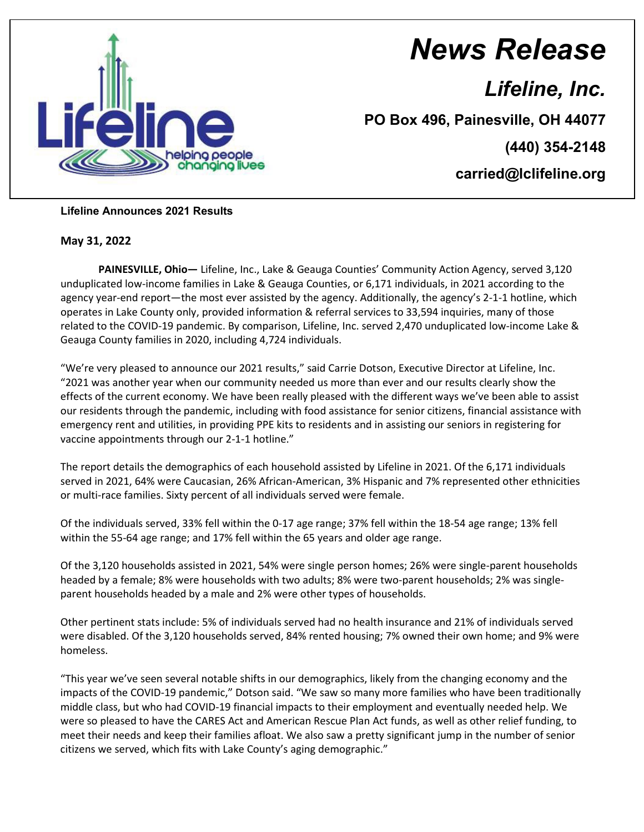

## *News Release*

*Lifeline, Inc.*

**PO Box 496, Painesville, OH 44077**

**(440) 354-2148**

**carried@lclifeline.org**

## **Lifeline Announces 2021 Results**

## **May 31, 2022**

**PAINESVILLE, Ohio—** Lifeline, Inc., Lake & Geauga Counties' Community Action Agency, served 3,120 unduplicated low-income families in Lake & Geauga Counties, or 6,171 individuals, in 2021 according to the agency year-end report—the most ever assisted by the agency. Additionally, the agency's 2-1-1 hotline, which operates in Lake County only, provided information & referral services to 33,594 inquiries, many of those related to the COVID-19 pandemic. By comparison, Lifeline, Inc. served 2,470 unduplicated low-income Lake & Geauga County families in 2020, including 4,724 individuals.

"We're very pleased to announce our 2021 results," said Carrie Dotson, Executive Director at Lifeline, Inc. "2021 was another year when our community needed us more than ever and our results clearly show the effects of the current economy. We have been really pleased with the different ways we've been able to assist our residents through the pandemic, including with food assistance for senior citizens, financial assistance with emergency rent and utilities, in providing PPE kits to residents and in assisting our seniors in registering for vaccine appointments through our 2-1-1 hotline."

The report details the demographics of each household assisted by Lifeline in 2021. Of the 6,171 individuals served in 2021, 64% were Caucasian, 26% African-American, 3% Hispanic and 7% represented other ethnicities or multi-race families. Sixty percent of all individuals served were female.

Of the individuals served, 33% fell within the 0-17 age range; 37% fell within the 18-54 age range; 13% fell within the 55-64 age range; and 17% fell within the 65 years and older age range.

Of the 3,120 households assisted in 2021, 54% were single person homes; 26% were single-parent households headed by a female; 8% were households with two adults; 8% were two-parent households; 2% was singleparent households headed by a male and 2% were other types of households.

Other pertinent stats include: 5% of individuals served had no health insurance and 21% of individuals served were disabled. Of the 3,120 households served, 84% rented housing; 7% owned their own home; and 9% were homeless.

"This year we've seen several notable shifts in our demographics, likely from the changing economy and the impacts of the COVID-19 pandemic," Dotson said. "We saw so many more families who have been traditionally middle class, but who had COVID-19 financial impacts to their employment and eventually needed help. We were so pleased to have the CARES Act and American Rescue Plan Act funds, as well as other relief funding, to meet their needs and keep their families afloat. We also saw a pretty significant jump in the number of senior citizens we served, which fits with Lake County's aging demographic."